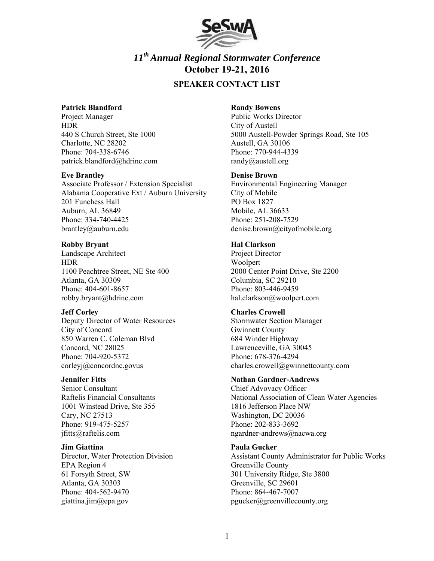

# *11th Annual Regional Stormwater Conference*  **October 19-21, 2016**

## **SPEAKER CONTACT LIST**

#### **Patrick Blandford**

Project Manager HDR 440 S Church Street, Ste 1000 Charlotte, NC 28202 Phone: 704-338-6746 patrick.blandford@hdrinc.com

#### **Eve Brantley**

Associate Professor / Extension Specialist Alabama Cooperative Ext / Auburn University 201 Funchess Hall Auburn, AL 36849 Phone: 334-740-4425 brantley@auburn.edu

#### **Robby Bryant**

Landscape Architect HDR 1100 Peachtree Street, NE Ste 400 Atlanta, GA 30309 Phone: 404-601-8657 robby.bryant@hdrinc.com

## **Jeff Corley**

Deputy Director of Water Resources City of Concord 850 Warren C. Coleman Blvd Concord, NC 28025 Phone: 704-920-5372 corleyj@concordnc.govus

## **Jennifer Fitts**

Senior Consultant Raftelis Financial Consultants 1001 Winstead Drive, Ste 355 Cary, NC 27513 Phone: 919-475-5257 jfitts@raftelis.com

**Jim Giattina**  Director, Water Protection Division EPA Region 4 61 Forsyth Street, SW Atlanta, GA 30303 Phone: 404-562-9470 giattina.jim@epa.gov

### **Randy Bowens**

Public Works Director City of Austell 5000 Austell-Powder Springs Road, Ste 105 Austell, GA 30106 Phone: 770-944-4339 randy@austell.org

#### **Denise Brown**

Environmental Engineering Manager City of Mobile PO Box 1827 Mobile, AL 36633 Phone: 251-208-7529 denise.brown@cityofmobile.org

## **Hal Clarkson**

Project Director Woolpert 2000 Center Point Drive, Ste 2200 Columbia, SC 29210 Phone: 803-446-9459 hal.clarkson@woolpert.com

## **Charles Crowell**

Stormwater Section Manager Gwinnett County 684 Winder Highway Lawrenceville, GA 30045 Phone: 678-376-4294 charles.crowell@gwinnettcounty.com

#### **Nathan Gardner-Andrews**

Chief Advovacy Officer National Association of Clean Water Agencies 1816 Jefferson Place NW Washington, DC 20036 Phone: 202-833-3692 ngardner-andrews@nacwa.org

## **Paula Gucker**

Assistant County Administrator for Public Works Greenville County 301 University Ridge, Ste 3800 Greenville, SC 29601 Phone: 864-467-7007 pgucker@greenvillecounty.org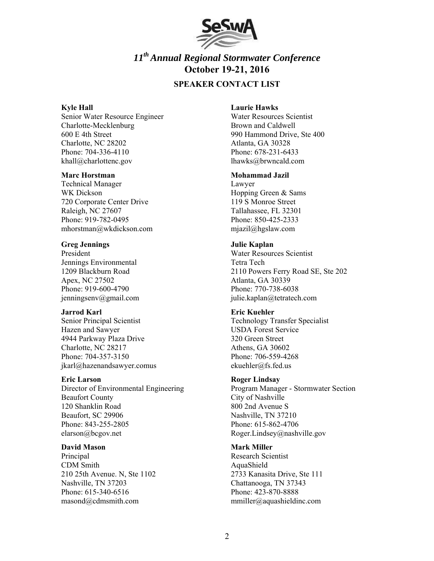

# *11th Annual Regional Stormwater Conference*  **October 19-21, 2016**

## **SPEAKER CONTACT LIST**

#### **Kyle Hall**

Senior Water Resource Engineer Charlotte-Mecklenburg 600 E 4th Street Charlotte, NC 28202 Phone: 704-336-4110 khall@charlottenc.gov

#### **Marc Horstman**

Technical Manager WK Dickson 720 Corporate Center Drive Raleigh, NC 27607 Phone: 919-782-0495 mhorstman@wkdickson.com

## **Greg Jennings**

President Jennings Environmental 1209 Blackburn Road Apex, NC 27502 Phone: 919-600-4790 jenningsenv@gmail.com

#### **Jarrod Karl**

Senior Principal Scientist Hazen and Sawyer 4944 Parkway Plaza Drive Charlotte, NC 28217 Phone: 704-357-3150 jkarl@hazenandsawyer.comus

## **Eric Larson**

Director of Environmental Engineering Beaufort County 120 Shanklin Road Beaufort, SC 29906 Phone: 843-255-2805 elarson@bcgov.net

#### **David Mason**

Principal CDM Smith 210 25th Avenue. N, Ste 1102 Nashville, TN 37203 Phone: 615-340-6516 masond@cdmsmith.com

#### **Laurie Hawks**

Water Resources Scientist Brown and Caldwell 990 Hammond Drive, Ste 400 Atlanta, GA 30328 Phone: 678-231-6433 lhawks@brwncald.com

## **Mohammad Jazil**

Lawyer Hopping Green & Sams 119 S Monroe Street Tallahassee, FL 32301 Phone: 850-425-2333 mjazil@hgslaw.com

#### **Julie Kaplan**

Water Resources Scientist Tetra Tech 2110 Powers Ferry Road SE, Ste 202 Atlanta, GA 30339 Phone: 770-738-6038 julie.kaplan@tetratech.com

## **Eric Kuehler**

Technology Transfer Specialist USDA Forest Service 320 Green Street Athens, GA 30602 Phone: 706-559-4268 ekuehler@fs.fed.us

## **Roger Lindsay**

Program Manager - Stormwater Section City of Nashville 800 2nd Avenue S Nashville, TN 37210 Phone: 615-862-4706 Roger.Lindsey@nashville.gov

## **Mark Miller**

Research Scientist AquaShield 2733 Kanasita Drive, Ste 111 Chattanooga, TN 37343 Phone: 423-870-8888 mmiller@aquashieldinc.com